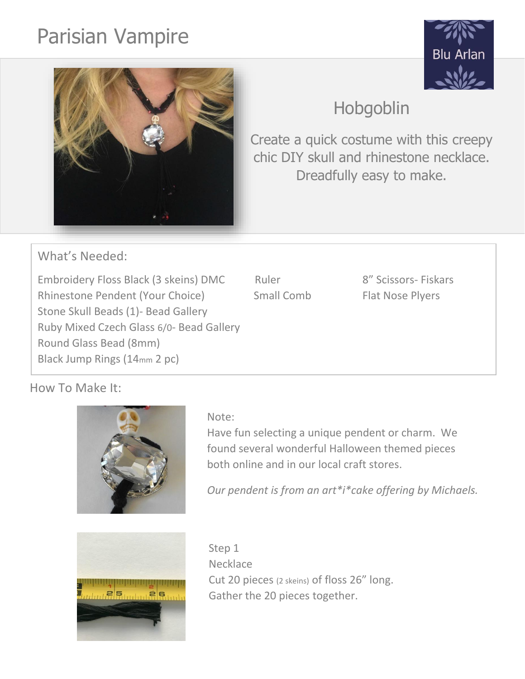# Parisian Vampire





## Hobgoblin

Create a quick costume with this creepy chic DIY skull and rhinestone necklace. Dreadfully easy to make.

What's Needed:

Embroidery Floss Black (3 skeins) DMC Ruler 8" Scissors- Fiskars Rhinestone Pendent (Your Choice) Small Comb Flat Nose Plyers Stone Skull Beads (1)- Bead Gallery Ruby Mixed Czech Glass 6/0- Bead Gallery Round Glass Bead (8mm) Black Jump Rings (14mm 2 pc)

### How To Make It:



Have fun selecting a unique pendent or charm. We found several wonderful Halloween themed pieces both online and in our local craft stores.

*Our pendent is from an art\*i\*cake offering by Michaels.*



Step 1 **Necklace** Cut 20 pieces (2 skeins) of floss 26" long. Gather the 20 pieces together.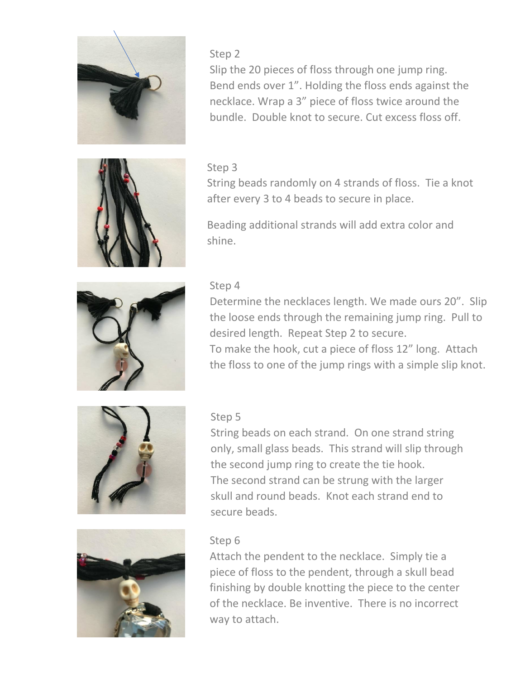

Step 2 Slip the 20 pieces of floss through one jump ring. Bend ends over 1". Holding the floss ends against the necklace. Wrap a 3" piece of floss twice around the bundle. Double knot to secure. Cut excess floss off.

#### Step 3

String beads randomly on 4 strands of floss. Tie a knot after every 3 to 4 beads to secure in place.

Beading additional strands will add extra color and shine.



### Step 4

Determine the necklaces length. We made ours 20". Slip the loose ends through the remaining jump ring. Pull to desired length. Repeat Step 2 to secure.

To make the hook, cut a piece of floss 12" long. Attach the floss to one of the jump rings with a simple slip knot.



#### Step 5

String beads on each strand. On one strand string only, small glass beads. This strand will slip through the second jump ring to create the tie hook. The second strand can be strung with the larger skull and round beads. Knot each strand end to secure beads.



#### Step 6

Attach the pendent to the necklace. Simply tie a piece of floss to the pendent, through a skull bead finishing by double knotting the piece to the center of the necklace. Be inventive. There is no incorrect way to attach.